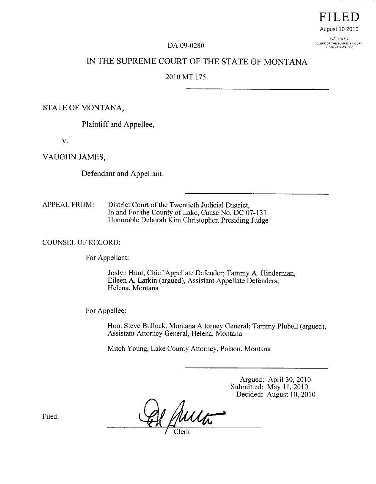# **FILED** August 10 2010

Ed Smith CLERK OF THE SUPREME COURT<br>STATE OF MONTANA

#### DA 09-0280

## IN THE SUPREME COURT OF THE STATE OF MONTANA

#### 2010 MT 175

STATE OF MONTANA,

Plaintiff and Appellee,

 $\mathbf{V}$ .

VAUGHN JAMES,

Defendant and Appellant.

APPEAL FROM: District Court of the Twentieth Judicial District, In and For the County of Lake, Cause No. DC 07-131 Honorable Deborah Kim Christopher, Presiding Judge

COUNSEL OF RECORD:

For Appellant:

Joslyn Hunt, Chief Appellate Defender; Tammy A. Hinderman, Eileen A. Larkin (argued), Assistant Appellate Defenders, Helena, Montana

For Appellee:

Hon. Steve Bullock, Montana Attorney General; Tammy Piubell (argued), Assistant Attorney General, Helena, Montana

Mitch Young, Lake County Attorney, Poison, Montana

Argued: April 30, 2010 Submitted: May 11, 2010 Decided: August 10, 2010

Muta

Filed: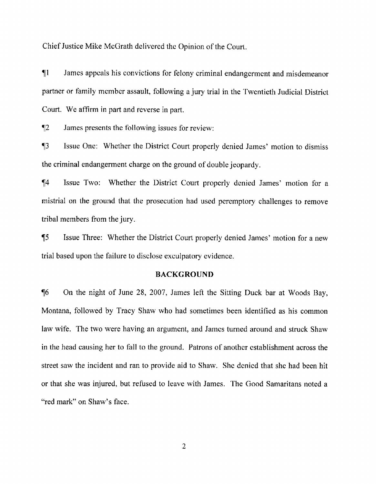Chief Justice Mike McGrath delivered the Opinion of the Court.

¶1 James appeals his convictions for felony criminal endangerment and misdemeanor partner or family member assault, following a jury trial in the Twentieth Judicial District Court. We affirm in part and reverse in part.

¶2 James presents the following issues for review:

¶3 Issue One: Whether the District court properly denied James' motion to dismiss the criminal endangerment charge on the ground of double jeopardy.

¶4 Issue Two: Whether the District Court properly denied James' motion for a mistrial on the ground that the prosecution had used peremptory challenges to remove tribal members from the jury.

*15* Issue Three: Whether the District Court properly denied James' motion for a new trial based upon the failure to disclose exculpatory evidence.

#### **BACKGROUND**

¶6 On the night of June 28, 2007, James left the Sitting Duck bar at Woods Bay, Montana, followed by Tracy Shaw who had sometimes been identified as his common law wife. The two were having an argument, and James turned around and struck Shaw in the head causing her to fall to the ground. Patrons of another establishment across the Street saw the incident and ran to provide aid to Shaw. She denied that she had been hit or that she was injured, but refused to leave with James. The Good Samaritans noted a "red mark" on Shaw's face.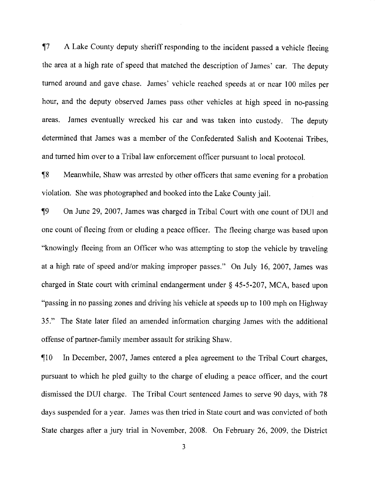17 A Lake County deputy sheriff responding to the incident passed a vehicle fleeing the area at a high rate of speed that matched the description of James' car. The deputy turned around and gave chase. James' vehicle reached speeds at or near 100 miles per hour, and the deputy observed James pass other vehicles at high speed in no-passing areas. James eventually wrecked his car and was taken into custody. The deputy determined that James was a member of the Confederated Salish and Kootenai Tribes, and turned him over to a Tribal law enforcement officer pursuant to local protocol.

¶8 Meanwhile, Shaw was arrested by other officers that same evening for a probation violation. She was photographed and hooked into the Lake County jail.

19 On June 29, 2007. James was charged in Tribal Court with one count of DUI and one count of fleeing from or eluding a peace officer. The fleeing charge was based upon "knowingly fleeing from an Officer who was attempting to stop the vehicle by traveling at a high rate of speed and/or making improper passes." On July 16, 2007, James was charged in State court with criminal endangerment under § *45-5-207,* MCA, based upon "passing in no passing zones and driving his vehicle at speeds up to 100 mph on Highway 35." The State later filed an amended information charging James with the additional offense of partner-family member assault for striking Shaw.

¶10 In December, 2007, James entered a plea agreement to the Tribal Court charges, pursuant to which he pled guilty to the charge of eluding a peace officer, and the court dismissed the DUI charge. The Tribal Court sentenced James to serve 90 days, with 78 days suspended for a year. James was then tried in State court and was convicted of both State charges after a jury trial in November, 2008. On February 26, 2009, the District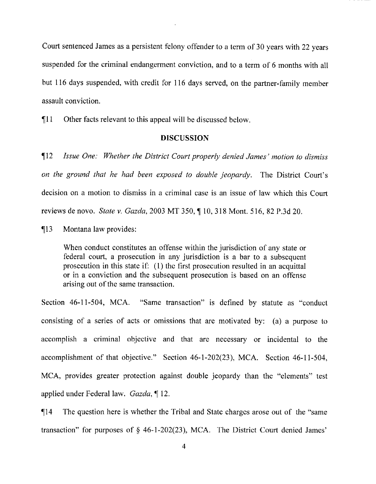Court sentenced James as a persistent felony offender to a term of 30 years with 22 years suspended for the criminal endangerment conviction, and to a term of 6 months with all but 116 days suspended, with credit for 116 days served, on the partner-family member assault conviction.

¶11 Other facts relevant to this appeal will be discussed below.

### **DISCUSSION**

112 *Issue One. Whether the District Court properly denied James' motion to dismiss on the ground that he had been exposed to double jeopardy.* The District Court's decision on a motion to dismiss in a criminal case is an issue of law which this Court reviews de novo, *State v. Gazda, 2003* MT 350, 110, 318 Mont. 516, 82 P.3d 20,

¶13 Montana law provides:

When conduct constitutes an offense within the jurisdiction of any state or federal court., a prosecution in any jurisdiction is a bar to a subsequent prosecution in this state if:  $(1)$  the first prosecution resulted in an acquittal or in a conviction and the subsequent prosecution is based on an offense arising out of the same transaction.

Section 46-11-504, MCA. "Same transaction" is defined by statute as "conduct consisting of a series of acts or omissions that are motivated by: (a) a purpose to accomplish a criminal objective and that are necessary or incidental to the accomplishment of that objective." Section 46-1-202(23), MCA. Section 46-1 *1-504,* MCA, provides greater protection against double jeopardy than the "elements" test applied under Federal law. *Gazda, ¶ 12.*

¶14 The question here is whether the Tribal and State charges arose out of the "same transaction" for purposes of  $\S$  46-1-202(23), MCA. The District Court denied James'

4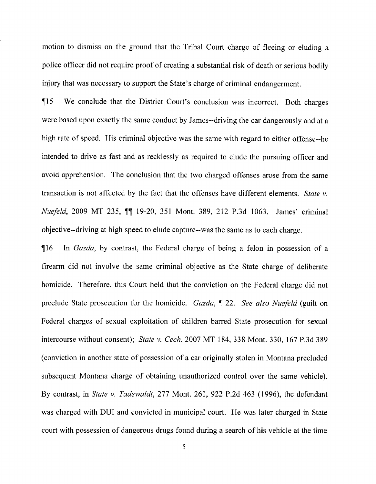motion to dismiss on the ground that the Tribal Court charge of fleeing or eluding a police officer did not require proof of creating a substantial risk of death or serious bodily injury that *was* necessary to support the State's charge of criminal endangerment.

¶15 We conclude that the District Court's conclusion was incorrect. Both charges were based upon exactly the same conduct by James--driving the car dangerously and at a high rate of speed. His criminal objective was the same with regard to either offense--he intended to drive as fast and as recklessly as required to elude the pursuing officer and avoid apprehension. The conclusion that the two charged offenses arose from the same transaction is not affected by the fact that the offenses have different elements. *State v. Nuefeld*, 2009 MT 235,  $\P$  19-20, 351 Mont. 389, 212 P.3d 1063. James' criminal objective--driving at high speed to elude capture--was the same as to each charge.

¶16 In *Gazda, by* contrast, the Federal charge of being a felon in possession of a firearm did not involve the same criminal objective as the State charge of deliberate homicide. Therefore, this Court held that the conviction on the Federal charge did not preclude State prosecution for the homicide. *Gazda*, ¶ 22. See also Nuefeld (guilt on Federal charges of sexual exploitation of children barred State prosecution for sexual intercourse without consent); *State v. Cech, 2007 MT 184,* 338 Mont. 330, 167 P.3d 389 (conviction in another state of possession of a car originally stolen in Montana precluded subsequent Montana charge of obtaining unauthorized control over the same vehicle). By contrast, in *State v. Tadewaldt, 277* Mont. 261, 922 P.2d 463 (1996), the defendant was charged with DUI and convicted in municipal court. lie was later charged in State court with possession of dangerous drugs found during a search of his vehicle at the time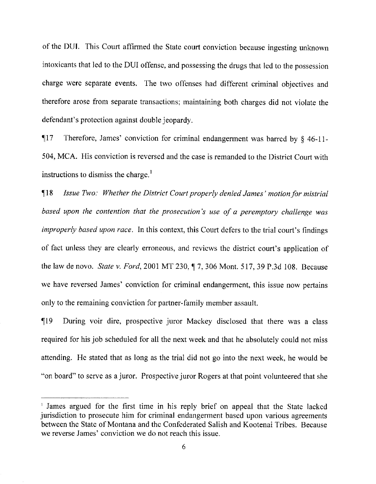of the DU!. This Court affirmed the State court conviction because ingesting unknown intoxicants that led to the DUI offense, and possessing the drugs that led to the possession charge were separate events. The two offenses had different criminal objectives and therefore arose from separate transactions; maintaining both charges did not violate the defendant's protection against double jeopardy.

¶17 Therefore, James' conviction for criminal endangerment was barred by § 46-11- 504, MCA. His conviction is reversed and the case is remanded to the District Court with instructions to dismiss the charge.'

¶18 *Issue Two: Whether the District Court properly denied James' motion/or mistrial based upon the contention that the prosecution's use of a peremptory challenge was improperly based upon race.* In this context, this Court defers to the trial court's findings of fact unless they are clearly erroneous, and reviews the district court's application of the law de novo. *State v. Ford*, 2001 MT 230,  $\parallel$  7, 306 Mont. 517, 39 P.3d 108. Because we have reversed James' conviction for criminal endangerment, this issue now pertains only to the remaining conviction for partner-family member assault.

¶19 During voir dire, prospective juror Mackey disclosed that there was a class required for his job scheduled for all the next week and that he absolutely could not miss attending. He stated that as long as the trial did not go into the next week, he would be "on board" to serve as a juror. Prospective juror Rogers at that point volunteered that she

<sup>&</sup>lt;sup>1</sup> James argued for the first time in his reply brief on appeal that the State lacked jurisdiction to prosecute him for criminal endangerment based upon various agreements between the State of Montana and the Confederated Salish and Kootenai Tribes. Because we reverse James' conviction we do not reach this issue.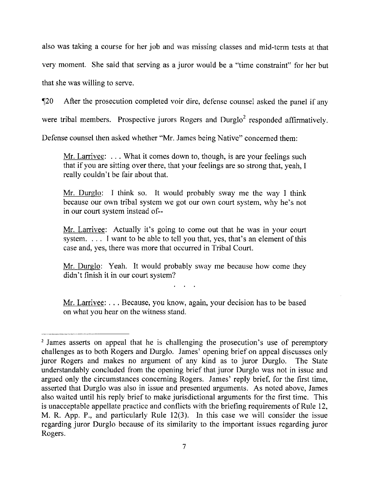also was taking a course for her job and was missing classes and mid-term tests at that very moment. She said that serving as a juror would be a "time constraint" for her but that she was willing to serve.

¶20 After the prosecution completed voir dire, defense counsel asked the panel if any

were tribal members. Prospective jurors Rogers and Durglo<sup>2</sup> responded affirmatively.

Defense counsel then asked whether "Mr. James being Native" concerned them:

Mr. Larrivee:  $\dots$  What it comes down to, though, is are your feelings such that if you are sitting over there, that your feelings are so strong that, yeah, I really couldn't be fair about that.

Mr. Durglo: I think so. It would probably sway me the way I think because our own tribal system we got our own court system, why he's not in our court system instead of--

Mr. Larrivee: Actually it's going to come out that he was in your court system. . . . I want to be able to tell you that, yes, that's an element of this case and, yes, there was more that occurred in Tribal Court.

Mr. Durglo: Yeah. It would probably sway me because how come they didn't finish it in our court system?

Mr. Larrivee: . . . Because, you know, again, your decision has to be based on what you hear on the witness stand.

<sup>&</sup>lt;sup>2</sup> James asserts on appeal that he is challenging the prosecution's use of peremptory challenges as to both Rogers and Durglo. James' opening brief on appeal discusses only juror Rogers and makes no argument of any kind as to juror Durglo. The State understandably concluded from the opening brief that juror Durglo was not in issue and argued only the circumstances concerning Rogers. James' reply brief, for the first time, asserted that Durglo was also in issue and presented arguments. As noted above, James also waited until his reply brief to make jurisdictional arguments for the first time. This is unacceptable appellate practice and conflicts with the briefing requirements of Rule 12, M. R. App. P., and particularly Rule 12(3). In this case we will consider the issue regarding juror Durglo because of its similarity to the important issues regarding juror Rogers.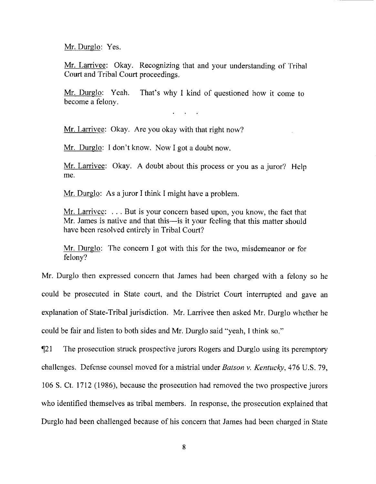Mr. Durglo: Yes.

Mr. Larrivee: Okay. Recognizing that and your understanding of Tribal Court and Tribal Court proceedings.

Mr. Durglo: Yeah. That's why I kind of questioned how it come to become a felony.

 $\mathbf{r} = \mathbf{r} \cdot \mathbf{r}$  , where  $\mathbf{r} = \mathbf{r} \cdot \mathbf{r}$ 

Mr. Larrivee: Okay. Are you okay with that right now?

Mr. Durglo: I don't know. Now I got a doubt now.

Mr. Larrivee: Okay. A doubt about this process or you as a juror? Help me.

Mr. Durglo: As a juror I think I might have a problem.

Mr. Larrivee: ... But is your concern based upon, you know, the fact that Mr. James is native and that this—is it your feeling that this matter should have been resolved entirely in Tribal Court?

Mr. Durglo: The concern I got with this for the two, misdemeanor or for felony?

Mr. Durglo then expressed concern that James had been charged with a felony so he could be prosecuted in State court, and the District Court interrupted and gave an explanation of State-Tribal jurisdiction. Mr. Larrivee then asked Mr. Durglo whether he could be fair and listen to both sides and Mr. Durglo said "yeah, I think so."

¶21 The prosecution struck prospective jurors Rogers and Durglo using its peremptory challenges. Defense counsel moved for a mistrial under *Batson v. Kentucky, 476 U.S. 79,* 106 S. Ct. *1712 (1986),* because the prosecution had removed the two prospective jurors who identified themselves as tribal members. In response, the prosecution explained that Durglo had been challenged because of his concern that James had been charged in State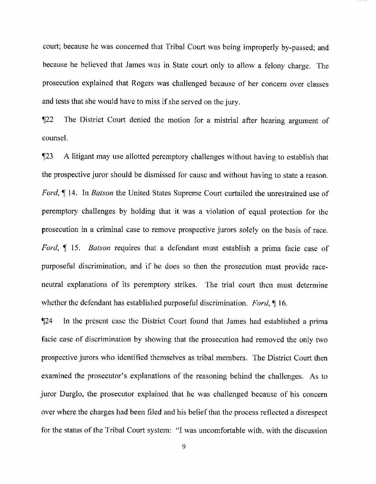court; because he was concerned that Tribal Court was being improperly by-passed; and because he believed that James was in State court only to allow a felony charge. The prosecution explained that Rogers was challenged because of her concern over classes and tests that she would have to miss if she served on the jury.

¶22 The District Court denied the motion for a mistrial after hearing argument of counsel.

¶23 A litigant may use allotted peremptory challenges without having to establish that the prospective juror should be dismissed for cause and without having to state a reason. *Ford*,  $\parallel$  14. In *Batson* the United States Supreme Court curtailed the unrestrained use of peremptory challenges by holding that it was a violation of equal protection for the prosecution in a criminal case to remove prospective jurors solely on the basis of race. *Ford, ¶ 15. Batson* requires that a defendant must establish a prima facie case of purposeful discrimination, and if he does so then the prosecution must provide raceneutral explanations of its peremptory strikes. The trial court then must determine whether the defendant has established purposeful discrimination. *Ford, 1116.*

*1124* In the present case the District Court found that James had established a prima facie case of discrimination by showing that the prosecution had removed the only two prospective jurors who identified themselves as tribal members. The District Court then examined the prosecutor's explanations of the reasoning behind the challenges. As to juror Durglo, the prosecutor explained that he was challenged because of his concern over where the charges had been filed and his belief that the process reflected a disrespect for the status of the Tribal Court system: "I was uncomfortable with, with the discussion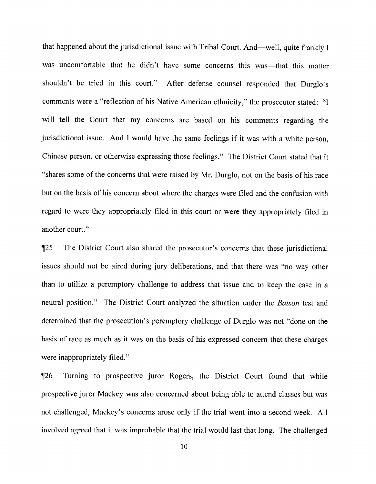that happened about the jurisdictional issue with Tribal Court. And—well, quite frankly I was uncomfortable that he didn't have some concerns this was—that this matter shouldn't be tried in this court." After defense counsel responded that Durglo's comments were a "reflection of his Native American ethnicity," the prosecutor stated: "I will tell the Court that my concerns are based on his comments regarding the jurisdictional issue. And I would have the same feelings if it was with a white person, Chinese person, or otherwise expressing those feelings." The District Court stated that it "shares some of the concerns that were raised by Mr. Durglo, not on the basis of his race but on the basis of his concern about where the charges were filed and the confusion with regard to were they appropriately filed in this court or were they appropriately filed in another court."

*125* The District Court also shared the prosecutor's concerns that these jurisdictional issues should not be aired during jury deliberations, and that there was "no way other than to utilize a peremptory challenge to address that issue and to keep the case in a neutral position." The District Court analyzed the situation under the Batson test and determined that the prosecution's peremptory challenge of Durglo was not "done on the basis of race as much as it was on the basis of his expressed concern that these charges were inappropriately filed."

¶26 Turning to prospective juror Rogers, the District Court found that while prospective juror Mackey was also concerned about being able to attend classes but was not challenged, Mackey's concerns arose only if the trial went into a second week. All involved agreed that it was improbable that the trial would last that long. The challenged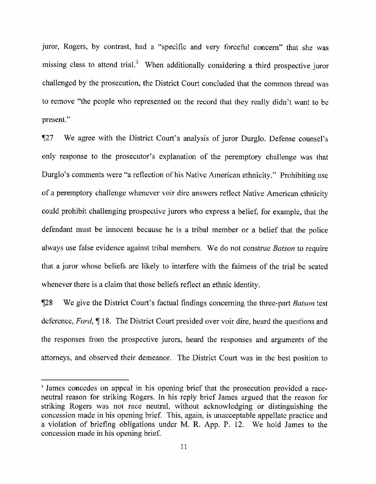juror, Rogers, by contrast, had a "specific and very forceful concern" that she was missing class to attend trial.<sup>3</sup> When additionally considering a third prospective juror challenged by the prosecution, the District Court concluded that the common thread was to remove "the people who represented on the record that they really didn't want to be present."

¶27 We agree with the District Court's analysis of juror Durglo. Defense counsel's only response to the prosecutor's explanation of the peremptory challenge was that Durglo's comments were "a reflection of his Native American ethnicity." Prohibiting use of a peremptory challenge whenever voir dire answers reflect Native American ethnicity could prohibit challenging prospective jurors who express a belief, for example, that the defendant must be innocent because he is a tribal member or a belief that the police always use false evidence against tribal members. We do not construe Batson to require that a juror whose beliefs are likely to interfere with the fairness of the trial be seated whenever there is a claim that those beliefs reflect an ethnic identity.

¶28 We give the District Court's factual findings concerning the three-part *Batson* test deference, *Ford,* ¶ 18. The District Court presided over voir dire, heard the questions and the responses from the prospective jurors, heard the responses and arguments of the attorneys, and observed their demeanor, The District Court was in the best position to

<sup>&</sup>lt;sup>3</sup> James concedes on appeal in his opening brief that the prosecution provided a raceneutral reason for striking Rogers. In his reply brief James argued that the reason for striking Rogers was not race neutral, without acknowledging or distinguishing the concession made in his opening brief. This, again, is unacceptable appellate practice and a violation of briefing obligations under M. R. App. P. 12. We hold James to the concession made in his opening brief.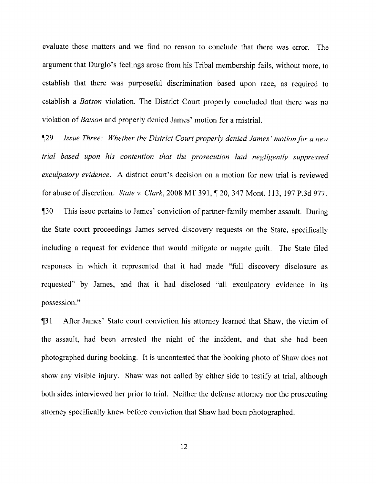evaluate these matters and we find no reason to conclude that there was error. The argument that Durglo's feelings arose from his Tribal membership fails, without more, to establish that there *was* purposeful discrimination based upon race, as required to establish a *Batson* violation. The District Court properly concluded that there was no violation *of Batson* and properly denied James' motion for a mistrial.

**[29** *Issue Three: Whether the District Court properly denied James' motion for a new trial based upon his contention that the prosecution had negligently suppressed exculpatory evidence. A* district court's decision on a motion for new trial is reviewed for abuse of discretion. *State v. Clark, 2008* MT 391, ¶ 20, 347 Mont. 113, 197 P.3d 977. *¶30* This issue pertains to James' conviction of partner-family member assault. During the State court proceedings James served discovery requests on the State, specifically including a request for evidence that would mitigate or negate guilt. The State filed responses in which it represented that it had made "full discovery disclosure as requested" by James, and that it had disclosed "all exculpatory evidence in its possession."

T31 After James' State court conviction his attorney learned that Shaw, the victim of the assault, had been arrested the night of the incident, and that she had been photographed during booking. It is uncontested that the booking photo of Shaw does not show any visible injury. Shaw was not called by either side to testify at trial, although both sides interviewed her prior to trial. Neither the defense attorney nor the prosecuting attorney specifically knew before conviction that Shaw had been photographed.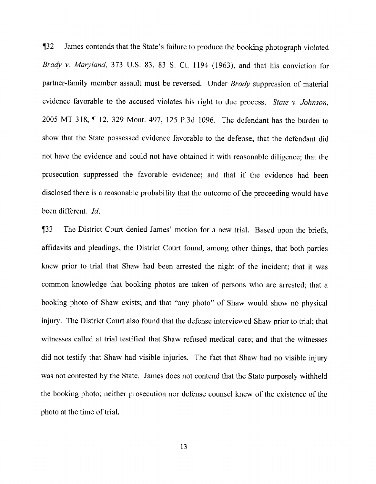¶32 James contends that the State's failure to produce the booking photograph violated *Brady v. Maryland. 373 U.S. 83,* 83 S. Ct. 1194 (1963), and that his conviction for partner-family member assault must be reversed. Under *Brady* suppression of material evidence favorable to the accused violates his right to due process. *State v. Johnson,* 2005 MT 318, ¶ 12, 329 Mont. 497, 125 P.3d 1096. The defendant has the burden to show that the State possessed evidence favorable to the defense; that the defendant did not have the evidence and could not have obtained it with reasonable diligence; that the prosecution suppressed the favorable evidence; and that if the evidence had been disclosed there is a reasonable probability that the outcome of the proceeding would have been different. *Id.*

¶33 The District Court denied James' motion for a new trial. Based upon the briefs, affidavits and pleadings, the District Court found, among other things, that both parties knew prior to trial that Shaw had been arrested the night of the incident; that it was common knowledge that booking photos are taken of persons who are arrested; that a booking photo of Shaw exists; and that "any photo" of Shaw would show no physical injury. The District Court also found that the defense interviewed Shaw prior to trial; that witnesses called at trial testified that Shaw refused medical care; and that the witnesses did not testify that Shaw had visible injuries. The fact that Shaw had no visible injury was not contested by the State. James does not contend that the State purposely withheld the booking photo; neither prosecution nor defense counsel knew of the existence of the photo at the time of trial.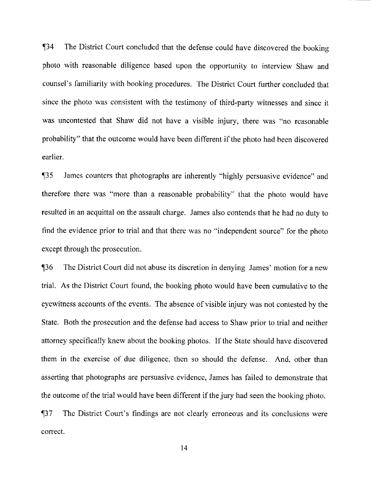T34 The District Court concluded that the defense could have discovered the booking photo with reasonable diligence based upon the opportunity to interview Shaw and counsel's familiarity with booking procedures. The District Court further concluded that since the photo was consistent with the testimony of third-party witnesses and since it was uncontested that Shaw did not have a visible injury, there was "no reasonable probability" that the outcome would have been different if the photo had been discovered earlier.

¶35 James counters that photographs are inherently "highly persuasive evidence" and therefore there was "more than a reasonable probability" that the photo would have resulted in an acquittal on the assault charge. James also contends that he had no duty to find the evidence prior to trial and that there was no "independent source" for the photo except through the prosecution.

1136 The District Court did not abuse its discretion in denying James' motion for a new trial. As the District Court found, the booking photo would have been cumulative to the eyewitness accounts of the events. The absence of visible injury was not contested by the State. Both the prosecution and the defense had access to Shaw prior to trial and neither attorney specifically knew about the booking photos. If the State should have discovered them in the exercise of due diligence, then so should the defense. And, other than asserting that photographs are persuasive evidence, James has failed to demonstrate that the outcome of the trial would have been different if the jury had seen the hooking photo.

¶37 The District Court's findings are not clearly erroneous and its conclusions were correct.

14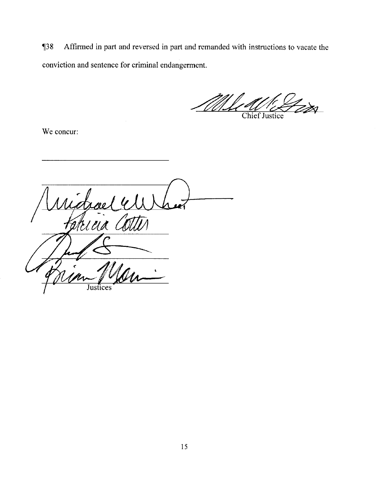138 Affirmed in part and reversed in part and remanded with instructions to vacate the conviction and sentence for criminal endangerment.

.<br>Zzsi Chief Justice

We concur:

ridrae ateina Co Justices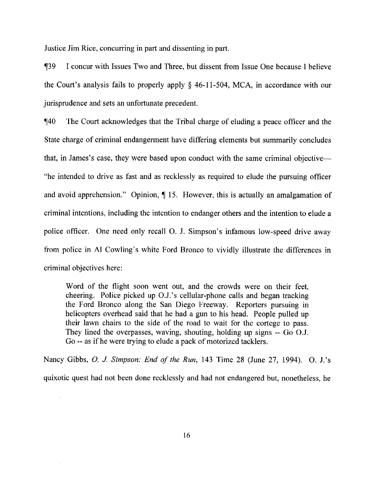Justice Jim Rice, concurring in part and dissenting in part.

¶39 I concur with Issues Two and Three, but dissent from Issue One because I believe the Court's analysis fails to properly apply § 46-11-504, MCA, in accordance with our jurisprudence and sets an unfortunate precedent.

¶40 The Court acknowledges that the Tribal charge of eluding a peace officer and the State charge of criminal endangerment have differing elements but summarily concludes that, in James's case, they were based upon conduct with the same criminal objective— "he intended to drive as fast and as recklessly as required to elude the pursuing officer and avoid apprehension." Opinion, ¶ 15. However, this is actually an amalgamation of criminal intentions, including the intention to endanger others and the intention to elude a police officer. One need only recall 0. J. Simpson's infamous low-speed drive away from police in Al Cowling's white Ford Bronco to vividly illustrate the differences in criminal objectives here:

Word of the flight soon went out, and the crowds were on their feet, cheering. Police picked up O.J.'s cellular-phone calls and began tracking the Ford Bronco along the San Diego Freeway. Reporters pursuing in helicopters overhead said that he had a gun to his head. People pulled up their lawn chairs to the side of the road to wait for the cortege to pass. They lined the overpasses, waving, shouting, holding up signs -- Go O.J. Go -- as if he were trying to elude a pack of motorized tacklers.

Nancy Gibbs, *0. J Simpson: End of the Run, 143* Time 28 (June 27, 1994). 0. J.'s quixotic quest had not been done recklessly and had not endangered but, nonetheless, he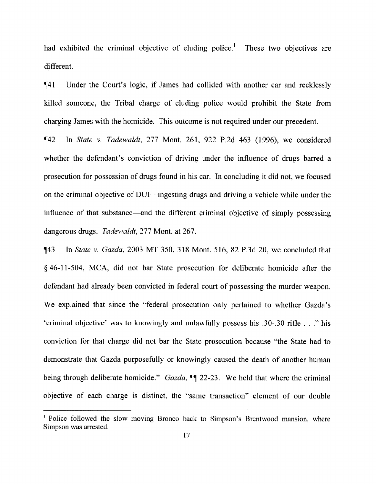had exhibited the criminal objective of eluding police.<sup>1</sup> These two objectives are different.

¶41 Under the Court's logic, if James had collided with another car and recklessly killed someone, the Tribal charge of eluding police would prohibit the State from charging James with the homicide. This outcome is not required under our precedent.

¶42 In *State v. Tadewaldt,* 277 Mont. 261, 922 P.2d 463 (1996), we considered whether the defendant's conviction of driving under the influence of drugs barred a prosecution for possession of drugs found in his car. In concluding it did not, we focused on the criminal objective of DUI—ingesting drugs and driving a vehicle while under the influence of that substance—and the different criminal objective of simply possessing dangerous drugs. *Tadewaldt,* 277 Mont. at 267.

1143 In *State v. Gazda,* 2003 MT 350, 318 Mont. *516,* 82 P.3d 20, we concluded that § 46-11-504, MCA, did not bar State prosecution for deliberate homicide after the defendant had already been convicted in federal court of possessing the murder weapon. We explained that since the "federal prosecution only pertained to whether Gazda's 'criminal objective' was to knowingly and unlawfully possess his .30-.30 rifle . . ." his conviction for that charge did not bar the State prosecution because "the State had to demonstrate that Gazda purposefully or knowingly caused the death of another human being through deliberate homicide." *Gazda*,  $\P$  22-23. We held that where the criminal objective of each charge is distinct, the "same transaction" element of our double

<sup>&</sup>lt;sup>1</sup> Police followed the slow moving Bronco back to Simpson's Brentwood mansion, where Simpson was arrested.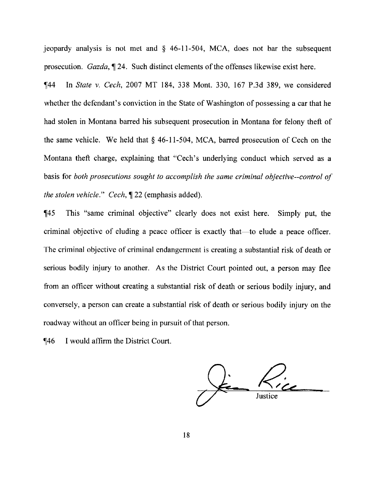jeopardy analysis is not met and § 46-11-504, MCA, does not bar the subsequent prosecution. *Gazda,* ¶ 24. Such distinct elements of the offenses likewise exist here.

¶44 In *State v. Cech, 2007 MT* 184, 338 Mont. 330, 167 P.3d 389, we considered whether the defendant's conviction in the State of Washington of possessing a car that he had stolen in Montana barred his subsequent prosecution in Montana for felony theft of the same vehicle. We held that § 46-11-504, MCA, barred prosecution of Cech on the Montana theft charge, explaining that "Cech's underlying conduct which served as a basis for *both prosecutions sought to accomplish the same criminal objective--control of the stolen vehicle." Cech, ¶ 22* (emphasis added).

¶45 This "same criminal objective" clearly does not exist here. Simply put, the criminal objective of eluding a peace officer is exactly that—to elude a peace officer. The criminal objective of criminal endangerment is creating a substantial risk of death or serious bodily injury to another. As the District Court pointed out, a person may flee from an officer without creating a substantial risk of death or serious bodily injury, and conversely, a person can create a substantial risk of death or serious bodily injury on the roadway without an officer being in pursuit of that person.

¶46 I would affirm the District Court.

 $\frac{1}{2}$   $\frac{1}{2}$   $\frac{1}{2}$   $\frac{1}{2}$   $\frac{1}{2}$   $\frac{1}{2}$ Justice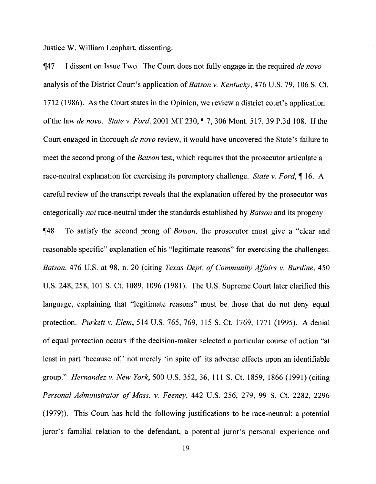Justice W. William Leaphart, dissenting.

¶47 I dissent on Issue Two. The Court does not fully engage in the required *de novo* analysis of the District Court's application of *Batson v. Kentucky,* 476 U.S. 79, 106 S. Ct. 1712 (1986). As the Court states in the Opinion, we review a district court's application of the law *de novo. State v. Ford, 2001 MT* 230,11 *7,* 306 Mont. 517, 39 P.3d 108. If the Court engaged in thorough *de nova* review, it would have uncovered the State's failure to meet the second prong of the *Batson* test, which requires that the prosecutor articulate a race-neutral explanation for exercising its peremptory challenge. *State v. Ford, ¶* 16. A careful review of the transcript reveals that the explanation offered by the prosecutor was categorically *not* race-neutral under the standards established by *Batson* and its progeny.

¶48 To satisfy the second prong of *Batson,* the prosecutor must give a "clear and reasonable specific" explanation of his "legitimate reasons" for exercising the challenges. *Batson, 476* U.S. at 98, n. 20 (citing *Texas Dept. of Community Affairs v. Burdine,* 450 U.S. 248, *258,* 101 S. Ct. 1089, 1096 (1981). The U.S. Supreme Court later clarified this language, explaining that "legitimate reasons" must be those that do not deny equal protection. *Purkett v. Elem, 514* U.S. 765, 769, 115 S. Ct. 1769, 1771 (1995). A denial of equal protection occurs if the decision-maker selected a particular course of action "at least in part 'because of,' not merely 'in spite of' its adverse effects upon an identifiable group." *Hernandez v. New York,* 500 U.S. 352, 36, 111 S. Ct. 1859, 1866 (1991) (citing *Personal Administrator of Mass. v. Feeney, 442 U.S. 256,* 279, 99 S. Ct. 2282, 2296 (1979)). This Court has held the following justifications to be race-neutral: a potential juror's familial relation to the defendant, a potential juror's personal experience and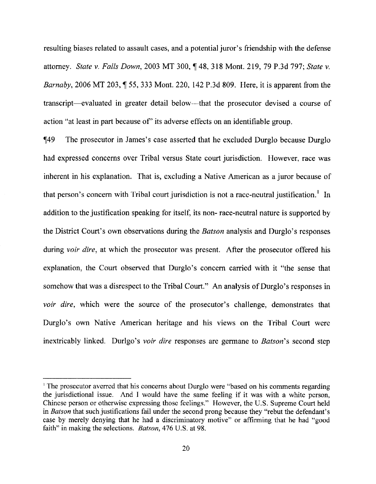resulting biases related to assault cases, and a potential juror's friendship with the defense attorney. *State v. Falls Down,* 2003 MT 300, ¶ 48, 318 Mont. 219, 79 P.3d *797; State v. Barnaby,* 2006 MT 203, ¶ *55,* 333 Mont. 220, 142 P.3d 809. Here, it is apparent from the transcript—evaluated in greater detail below—that the prosecutor devised a course of action 'at least in part because of' its adverse effects on an identifiable group.

¶49 The prosecutor in James's case asserted that he excluded Durglo because Durglo had expressed concerns over Tribal versus State court jurisdiction. However, race was inherent in his explanation. That is, excluding a Native American as a juror because of that person's concern with Tribal court jurisdiction is not a race-neutral justification.' In addition to the justification speaking for itself, its non- race-neutral nature is supported by the District Court's own observations during the *Batson* analysis and Durglo's responses during *voir dire,* at which the prosecutor was present. After the prosecutor offered his explanation, the Court observed that Durglo's concern carried with it "the sense that somehow that was a disrespect to the Tribal Court." An analysis of Durglo's responses in *voir dire,* which were the source of the prosecutor's challenge, demonstrates that Durglo's own Native American heritage and his views on the Tribal Court were inextricably linked. Durlgo's *voir dire* responses are germane to *Batson's* second step

<sup>&#</sup>x27;The prosecutor averred that his concerns about Durglo were "based on his comments regarding the jurisdictional issue. And I would have the same feeling if it was with a white person, Chinese person or otherwise expressing those feelings." However, the U.S. Supreme Court held in *Batson* that such justifications fail under the second prong because they "rebut the defendant's case by merely denying that he had a discriminatory motive" or affirming that he had "good faith" in making the selections. *Batson,* 476 U.S. at 98.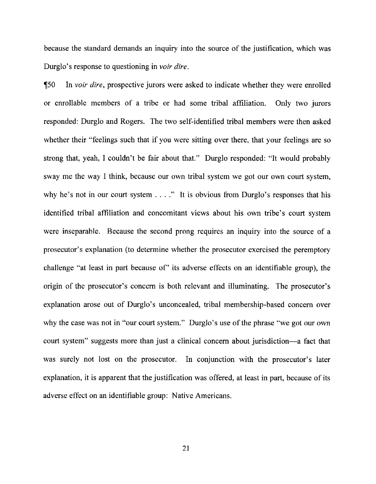because the standard demands an inquiry into the source of the justification, which was Durglo's response to questioning in *voir dire.*

*150* In *voir dire,* prospective jurors were asked to indicate whether they were enrolled or enrollable members of a tribe or had some tribal affiliation. Only two jurors responded: Durglo and Rogers. The two self-identified tribal members were then asked whether their "feelings such that if you were sitting over there, that your feelings are so strong that, yeah, I couldn't be fair about that." Durglo responded: "It would probably sway me the *way* I think, because our own tribal system we got our own court system, why he's not in our court system  $\dots$ ." It is obvious from Durglo's responses that his identified tribal affiliation and concomitant views about his own tribe's court system were inseparable. Because the second prong requires an inquiry into the source of a prosecutor's explanation (to determine whether the prosecutor exercised the peremptory challenge "at least in part because of' its adverse effects on an identifiable group), the origin of the prosecutor's concern is both relevant and illuminating. The prosecutor's explanation arose out of Durglo's unconcealed, tribal membership-based concern over why the case was not in "our court system." Durglo's use of the phrase "we got our own court system" suggests more than just a clinical concern about jurisdiction—a fact that was surely not lost on the prosecutor. In conjunction with the prosecutor's later explanation, it is apparent that the justification was offered, at least in part, because of its adverse effect on an identifiable group: Native Americans.

21